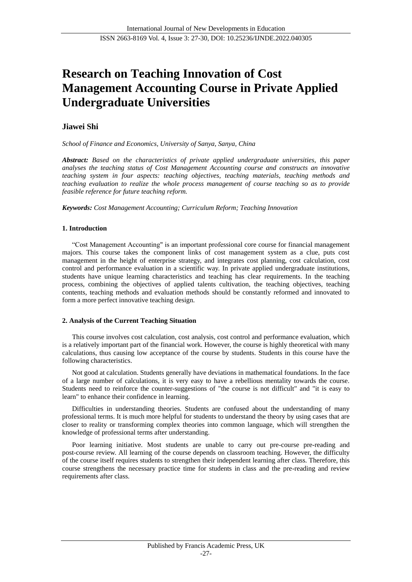# **Research on Teaching Innovation of Cost Management Accounting Course in Private Applied Undergraduate Universities**

# **Jiawei Shi**

*School of Finance and Economics, University of Sanya, Sanya, China*

*Abstract: Based on the characteristics of private applied undergraduate universities, this paper analyses the teaching status of Cost Management Accounting course and constructs an innovative teaching system in four aspects: teaching objectives, teaching materials, teaching methods and teaching evaluation to realize the whole process management of course teaching so as to provide feasible reference for future teaching reform.*

*Keywords: Cost Management Accounting; Curriculum Reform; Teaching Innovation*

# **1. Introduction**

"Cost Management Accounting" is an important professional core course for financial management majors. This course takes the component links of cost management system as a clue, puts cost management in the height of enterprise strategy, and integrates cost planning, cost calculation, cost control and performance evaluation in a scientific way. In private applied undergraduate institutions, students have unique learning characteristics and teaching has clear requirements. In the teaching process, combining the objectives of applied talents cultivation, the teaching objectives, teaching contents, teaching methods and evaluation methods should be constantly reformed and innovated to form a more perfect innovative teaching design.

## **2. Analysis of the Current Teaching Situation**

This course involves cost calculation, cost analysis, cost control and performance evaluation, which is a relatively important part of the financial work. However, the course is highly theoretical with many calculations, thus causing low acceptance of the course by students. Students in this course have the following characteristics.

Not good at calculation. Students generally have deviations in mathematical foundations. In the face of a large number of calculations, it is very easy to have a rebellious mentality towards the course. Students need to reinforce the counter-suggestions of "the course is not difficult" and "it is easy to learn" to enhance their confidence in learning.

Difficulties in understanding theories. Students are confused about the understanding of many professional terms. It is much more helpful for students to understand the theory by using cases that are closer to reality or transforming complex theories into common language, which will strengthen the knowledge of professional terms after understanding.

Poor learning initiative. Most students are unable to carry out pre-course pre-reading and post-course review. All learning of the course depends on classroom teaching. However, the difficulty of the course itself requires students to strengthen their independent learning after class. Therefore, this course strengthens the necessary practice time for students in class and the pre-reading and review requirements after class.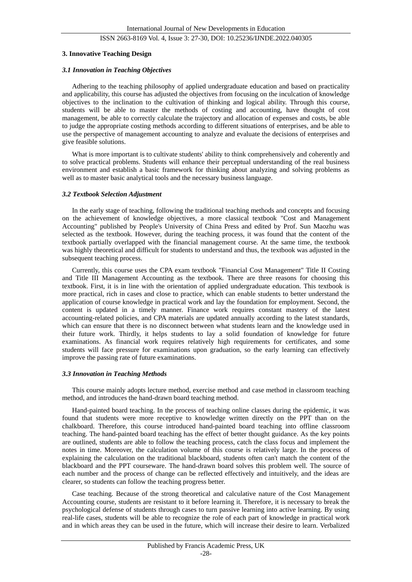# ISSN 2663-8169 Vol. 4, Issue 3: 27-30, DOI: 10.25236/IJNDE.2022.040305

#### **3. Innovative Teaching Design**

#### *3.1 Innovation in Teaching Objectives*

Adhering to the teaching philosophy of applied undergraduate education and based on practicality and applicability, this course has adjusted the objectives from focusing on the inculcation of knowledge objectives to the inclination to the cultivation of thinking and logical ability. Through this course, students will be able to master the methods of costing and accounting, have thought of cost management, be able to correctly calculate the trajectory and allocation of expenses and costs, be able to judge the appropriate costing methods according to different situations of enterprises, and be able to use the perspective of management accounting to analyze and evaluate the decisions of enterprises and give feasible solutions.

What is more important is to cultivate students' ability to think comprehensively and coherently and to solve practical problems. Students will enhance their perceptual understanding of the real business environment and establish a basic framework for thinking about analyzing and solving problems as well as to master basic analytical tools and the necessary business language.

#### *3.2 Textbook Selection Adjustment*

In the early stage of teaching, following the traditional teaching methods and concepts and focusing on the achievement of knowledge objectives, a more classical textbook "Cost and Management Accounting" published by People's University of China Press and edited by Prof. Sun Maozhu was selected as the textbook. However, during the teaching process, it was found that the content of the textbook partially overlapped with the financial management course. At the same time, the textbook was highly theoretical and difficult for students to understand and thus, the textbook was adjusted in the subsequent teaching process.

Currently, this course uses the CPA exam textbook "Financial Cost Management" Title II Costing and Title III Management Accounting as the textbook. There are three reasons for choosing this textbook. First, it is in line with the orientation of applied undergraduate education. This textbook is more practical, rich in cases and close to practice, which can enable students to better understand the application of course knowledge in practical work and lay the foundation for employment. Second, the content is updated in a timely manner. Finance work requires constant mastery of the latest accounting-related policies, and CPA materials are updated annually according to the latest standards, which can ensure that there is no disconnect between what students learn and the knowledge used in their future work. Thirdly, it helps students to lay a solid foundation of knowledge for future examinations. As financial work requires relatively high requirements for certificates, and some students will face pressure for examinations upon graduation, so the early learning can effectively improve the passing rate of future examinations.

## *3.3 Innovation in Teaching Methods*

This course mainly adopts lecture method, exercise method and case method in classroom teaching method, and introduces the hand-drawn board teaching method.

Hand-painted board teaching. In the process of teaching online classes during the epidemic, it was found that students were more receptive to knowledge written directly on the PPT than on the chalkboard. Therefore, this course introduced hand-painted board teaching into offline classroom teaching. The hand-painted board teaching has the effect of better thought guidance. As the key points are outlined, students are able to follow the teaching process, catch the class focus and implement the notes in time. Moreover, the calculation volume of this course is relatively large. In the process of explaining the calculation on the traditional blackboard, students often can't match the content of the blackboard and the PPT courseware. The hand-drawn board solves this problem well. The source of each number and the process of change can be reflected effectively and intuitively, and the ideas are clearer, so students can follow the teaching progress better.

Case teaching. Because of the strong theoretical and calculative nature of the Cost Management Accounting course, students are resistant to it before learning it. Therefore, it is necessary to break the psychological defense of students through cases to turn passive learning into active learning. By using real-life cases, students will be able to recognize the role of each part of knowledge in practical work and in which areas they can be used in the future, which will increase their desire to learn. Verbalized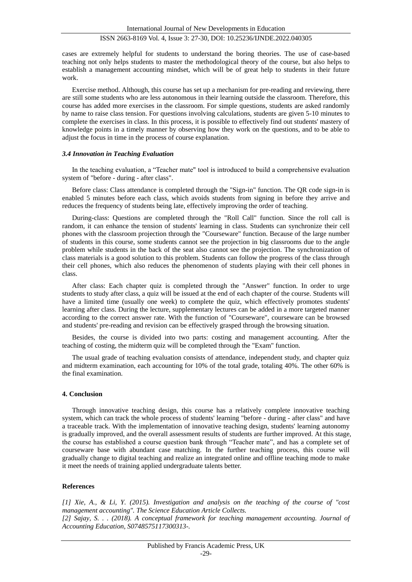# ISSN 2663-8169 Vol. 4, Issue 3: 27-30, DOI: 10.25236/IJNDE.2022.040305

cases are extremely helpful for students to understand the boring theories. The use of case-based teaching not only helps students to master the methodological theory of the course, but also helps to establish a management accounting mindset, which will be of great help to students in their future work.

Exercise method. Although, this course has set up a mechanism for pre-reading and reviewing, there are still some students who are less autonomous in their learning outside the classroom. Therefore, this course has added more exercises in the classroom. For simple questions, students are asked randomly by name to raise class tension. For questions involving calculations, students are given 5-10 minutes to complete the exercises in class. In this process, it is possible to effectively find out students' mastery of knowledge points in a timely manner by observing how they work on the questions, and to be able to adjust the focus in time in the process of course explanation.

#### *3.4 Innovation in Teaching Evaluation*

In the teaching evaluation, a "Teacher mate" tool is introduced to build a comprehensive evaluation system of "before - during - after class".

Before class: Class attendance is completed through the "Sign-in" function. The QR code sign-in is enabled 5 minutes before each class, which avoids students from signing in before they arrive and reduces the frequency of students being late, effectively improving the order of teaching.

During-class: Questions are completed through the "Roll Call" function. Since the roll call is random, it can enhance the tension of students' learning in class. Students can synchronize their cell phones with the classroom projection through the "Courseware" function. Because of the large number of students in this course, some students cannot see the projection in big classrooms due to the angle problem while students in the back of the seat also cannot see the projection. The synchronization of class materials is a good solution to this problem. Students can follow the progress of the class through their cell phones, which also reduces the phenomenon of students playing with their cell phones in class.

After class: Each chapter quiz is completed through the "Answer" function. In order to urge students to study after class, a quiz will be issued at the end of each chapter of the course. Students will have a limited time (usually one week) to complete the quiz, which effectively promotes students' learning after class. During the lecture, supplementary lectures can be added in a more targeted manner according to the correct answer rate. With the function of "Courseware", courseware can be browsed and students' pre-reading and revision can be effectively grasped through the browsing situation.

Besides, the course is divided into two parts: costing and management accounting. After the teaching of costing, the midterm quiz will be completed through the "Exam" function.

The usual grade of teaching evaluation consists of attendance, independent study, and chapter quiz and midterm examination, each accounting for 10% of the total grade, totaling 40%. The other 60% is the final examination.

#### **4. Conclusion**

Through innovative teaching design, this course has a relatively complete innovative teaching system, which can track the whole process of students' learning "before - during - after class" and have a traceable track. With the implementation of innovative teaching design, students' learning autonomy is gradually improved, and the overall assessment results of students are further improved. At this stage, the course has established a course question bank through "Teacher mate", and has a complete set of courseware base with abundant case matching. In the further teaching process, this course will gradually change to digital teaching and realize an integrated online and offline teaching mode to make it meet the needs of training applied undergraduate talents better.

#### **References**

*[1] Xie, A., & Li, Y. (2015). Investigation and analysis on the teaching of the course of "cost management accounting". The Science Education Article Collects. [2] Sajay, S. . . (2018). A conceptual framework for teaching management accounting. Journal of* 

*Accounting Education, S0748575117300313-.*